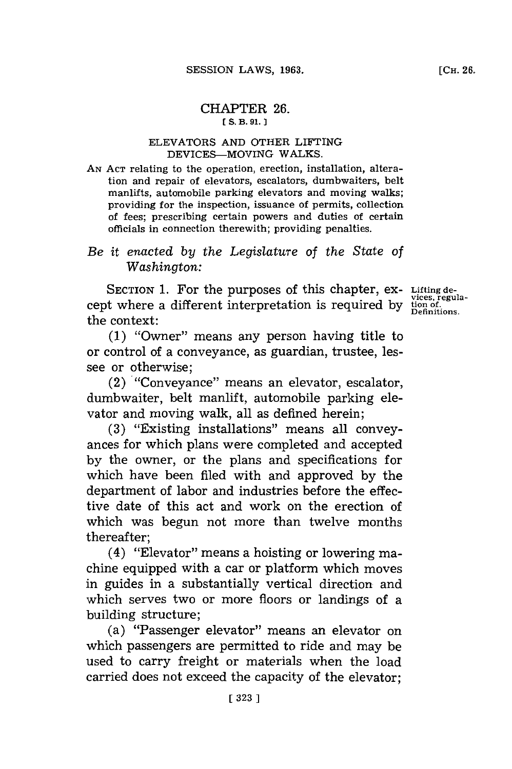# CHAPTER **26. [ S. B. 91. 1**

# **ELEVATORS AND OTHER LIFTING DEVICES-MOVING WALKS.**

**AN ACT** relating to the operation, erection, installation, alteration and repair of elevators, escalators, dumbwaiters, belt manlifts, automobile parking elevators and moving walks; providing for the inspection, issuance of permits, collection of fees; prescribing certain powers and duties of certain officials in connection therewith; providing penalties.

# *Be it enacted by the Legislature of the State of Washington:*

SECTION 1. For the purposes of this chapter, ex- Lifting decept where a different interpretation is required **by** tion of. **Definitions.** the context:

**(1)** "Owner" means any person having title to or control of a conveyance, as guardian, trustee, lessee or otherwise;

(2) "Conveyance" means an elevator, escalator, dumbwaiter, belt manlift, automobile parking elevator and moving walk, all as defined herein;

**(3)** "Existing installations" means all conveyances **for** which plans were completed and accepted **by** the owner, or the plans and specifications for which have been filed with and approved **by** the department of labor and industries before the effective date of this act and work on the erection of which was begun not more than twelve months thereafter;

(4) "Elevator" means a hoisting or lowering machine equipped with a car or platform which moves in guides in a substantially vertical direction and which serves two or more floors or landings of a building structure;

(a) "Passenger elevator" means an elevator on which passengers are permitted to ride and may be used to carry freight or materials when the load carried does not exceed the capacity of the elevator;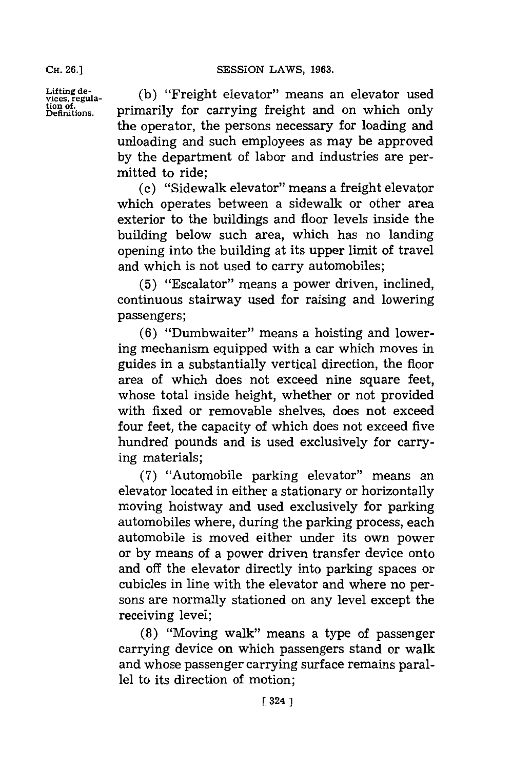**CH. 26.1**

Lifting de-<br>vices, regula- (b) "Freight elevator" means an elevator used<br>tion of a primarily for carrying freight and on which only Litting de-<br>vices, regula- (b) "Freight elevator" means an elevator used<br>pefinitions. primarily for carrying freight and on which only the operator, the persons necessary for loading and unloading and such employees as may be approved **by** the department of labor and industries are permitted to ride;

> (c) "Sidewalk elevator" means a freight elevator which operates between a sidewalk or other area exterior to the buildings and floor levels inside the building below such area, which has no landing opening into the building at its upper limit of travel and which is not used to carry automobiles;

> **(5)** "Escalator" means a power driven, inclined, continuous stairway used for raising and lowering passengers;

> **(6)** "Dumbwaiter" means a hoisting and lowering mechanism equipped with a car which moves in guides in a substantially vertical direction, the floor area of which does not exceed nine square feet, whose total inside height, whether or not provided with fixed or removable shelves, does not exceed four feet, the capacity of which does not exceed five hundred pounds and is used exclusively for carrying materials;

> **(7)** "Automobile parking elevator" means an elevator located in either a stationary or horizontally moving hoistway and used exclusively for parking automobiles where, during the parking process, each automobile is moved either under its own power or **by** means of a power driven transfer device onto and off the elevator directly into parking spaces or cubicles in line with the elevator and where no persons are normally stationed on any level except the receiving level;

> **(8)** "Moving walk" means a type of passenger carrying device on which passengers stand or walk and whose passenger carrying surface remains parallel to its direction of motion;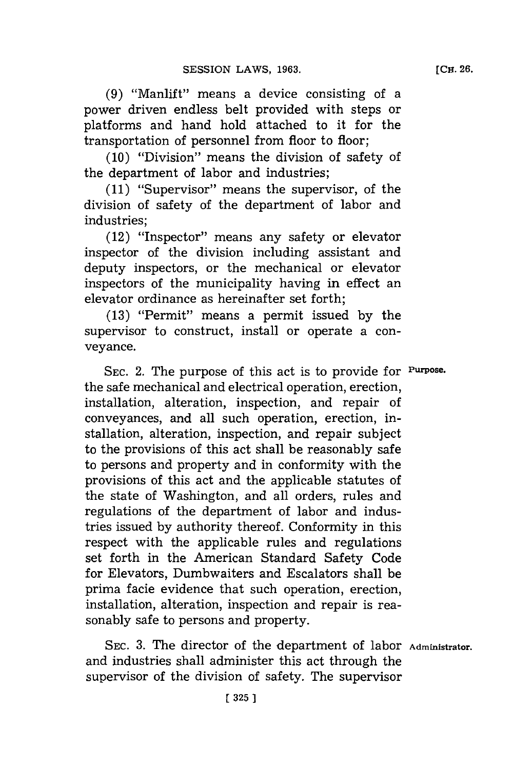**(9)** "Manlift" means a device consisting of a power driven endless belt provided with steps or platforms and hand hold attached to it for the transportation of personnel from floor to floor;

**(10)** "Division" means the division of safety of the department of labor and industries;

**(11)** "Supervisor" means the supervisor, of the division of safety of the department of labor and industries;

(12) "Inspector" means any safety or elevator inspector of the division including assistant and deputy inspectors, or the mechanical or elevator inspectors of the municipality having in effect an elevator ordinance as hereinafter set forth;

**(13)** "Permit" means a permit issued **by** the supervisor to construct, install or operate a conveyance.

**SEC.** 2. The purpose of this act is to provide for **Purpose.** the safe mechanical and electrical operation, erection, installation, alteration, inspection, and repair of conveyances, and all such operation, erection, installation, alteration, inspection, and repair subject to the provisions of this act shall be reasonably safe to persons and property and in conformity with the provisions of this act and the applicable statutes of the state of Washington, and all orders, rules and regulations of the department of labor and industries issued **by** authority thereof. Conformity in this respect with the applicable rules and regulations set forth in the American Standard Safety Code for Elevators, Dumbwaiters and Escalators shall be prima facie evidence that such operation, erection, installation, alteration, inspection and repair is reasonably safe to persons and property.

SEC. 3. The director of the department of labor Administrator. and industries shall administer this act through the supervisor of the division of safety. The supervisor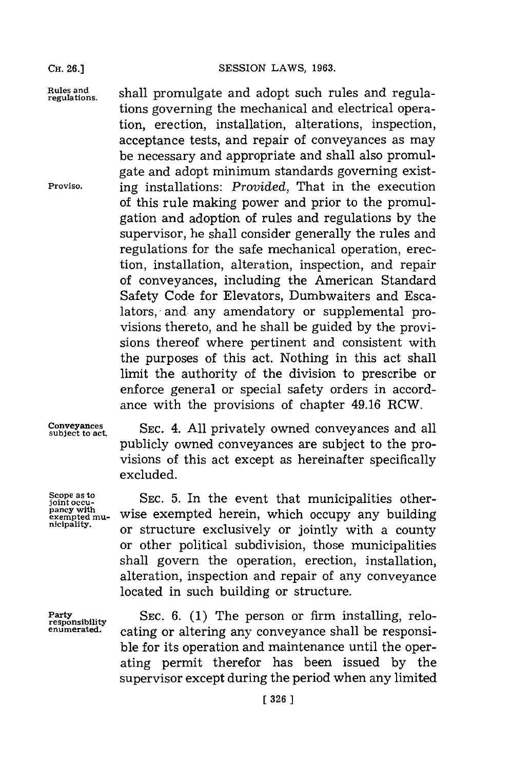**CH. 26.]**

**SESSION LAWS, 1963.** 

Rules and **band is shall promulgate and adopt such rules and regula** tions governing the mechanical and electrical operation, erection, installation, alterations, inspection, acceptance tests, and repair of conveyances as may be necessary and appropriate and shall also promulgate and adopt minimum standards governing exist-**Proviso.** ing installations: *Provided,* That in the execution of this rule making power and prior to the promulgation and adoption of rules and regulations **by** the supervisor, he shall consider generally the rules and regulations for the safe mechanical operation, erection, installation, alteration, inspection, and repair of conveyances, including the American Standard Safety Code for Elevators, Dumbwaiters and Escalators, and any amendatory or supplemental provisions thereto, and he shall be guided **by** the provisions thereof where pertinent and consistent with the purposes of this act. Nothing in this act shall limit the authority of the division to prescribe or enforce general or special safety orders in accordance with the provisions of chapter 49.16 RCW.

subject to act.

**Scope as to**<br>joint occupancy with<br>exempted mu-<br>nicipality.

**Conveyances** SEC. 4. All privately owned conveyances and all publicly owned conveyances are subject to the provisions of this act except as hereinafter specifically excluded.

> SEC. 5. In the event that municipalities otherwise exempted herein, which occupy any building or structure exclusively or jointly with a county or other political subdivision, those municipalities shall govern the operation, erection, installation, alteration, inspection and repair of any conveyance located in such building or structure.

**responsibility**

Party SEC. 6. (1) The person or firm installing, relocating or altering any conveyance shall be responsible for its operation and maintenance until the operating permit therefor has been issued **by** the supervisor except during the period when any limited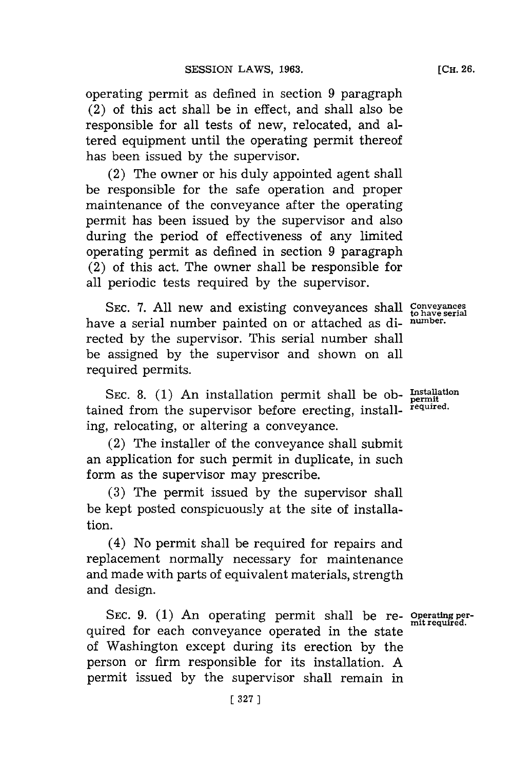operating permit as defined in section **9** paragraph (2) of this act shall be in effect, and shall also be responsible for all tests of new, relocated, and altered equipment until the operating permit thereof has been issued **by** the supervisor.

(2) The owner or his duly appointed agent shall be responsible for the safe operation and proper maintenance of the conveyance after the operating permit has been issued **by** the supervisor and also during the period of effectiveness of any limited operating permit as defined in section **9** paragraph (2) of this act. The owner shall be responsible for all periodic tests required **by** the supervisor.

**SEC. 7. All** new and existing conveyances shall **conveyances to have serial** have a serial number painted on or attached as di- **number.** rected **by** the supervisor. This serial number shall be assigned **by** the supervisor and shown on all required permits.

SEC. 8. (1) An installation permit shall be ob- **Installation** tamned from the supervisor before erecting, install- **required.** ing, relocating, or altering a conveyance.

(2) The installer of the conveyance shall submit an application for such permit in duplicate, in such form as the supervisor may prescribe.

**(3)** The permit issued **by** the supervisor shall be kept posted conspicuously at the site of installation.

(4) No permit shall be required for repairs and replacement normally necessary for maintenance and made with parts of equivalent materials, strength and design.

**SEC. 9. (1)** An operating permit shall be re- **operating per**quired for each conveyance operated in the state of Washington except during its erection **by** the person or firm responsible for its installation. **A** permit issued **by** the supervisor shall remain in

**permit**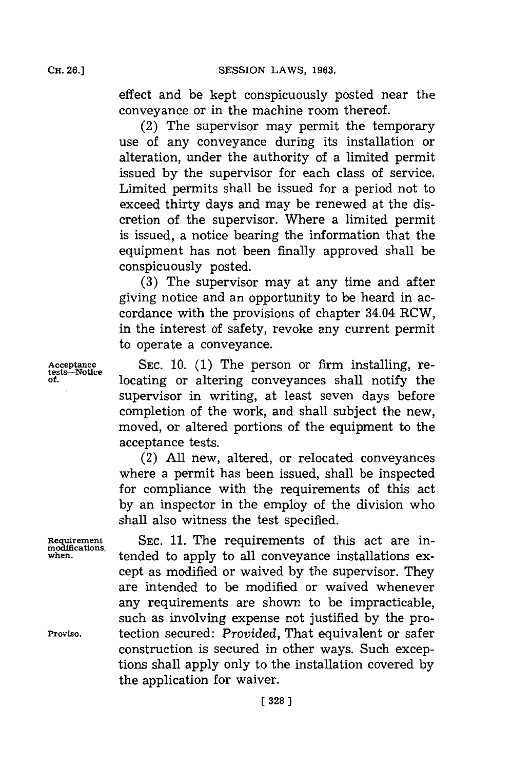effect and be kept conspicuously posted near the conveyance or in the machine room thereof.

(2) The supervisor may permit the temporary use of any conveyance during its installation or alteration, under the authority of a limited permit issued **by** the supervisor for each class of service. Limited permits shall be issued for a period not to exceed thirty days and may be renewed at the discretion of the supervisor. Where a limited permit is issued, a notice bearing the information that the equipment has not been finally approved shall be conspicuously posted.

**(3)** The supervisor may at any time and after giving notice and an opportunity to be heard in accordance with the provisions of chapter 34.04 RCW, in the interest of safety, revoke any current permit to operate a conveyance.

**Acceptance SEC. 10. (1)** The person or firm installing, re**of.** locating or altering conveyances shall notify the supervisor in writing, at least seven days before completion of the work, and shall subject the new, moved, or altered portions of the equipment to the acceptance tests.

> (2) **All** new, altered, or relocated conveyances where a permit has been issued, shall be inspected for compliance with the requirements of this act **by** an inspector in the employ of the division who shall also witness the test specified.

Requirement SEC. 11. The requirements of this act are inwhen. *a* tended to apply to all conveyance installations except as modified or waived **by** the supervisor. They are intended to be modified or waived whenever any requirements are shown to be impracticable, such as involving expense not justified **by** the pro-**Proviso.** tection secured: *Provided,* That equivalent or safer construction is secured in other ways. Such exceptions shall apply only to the installation covered **by** the application for waiver.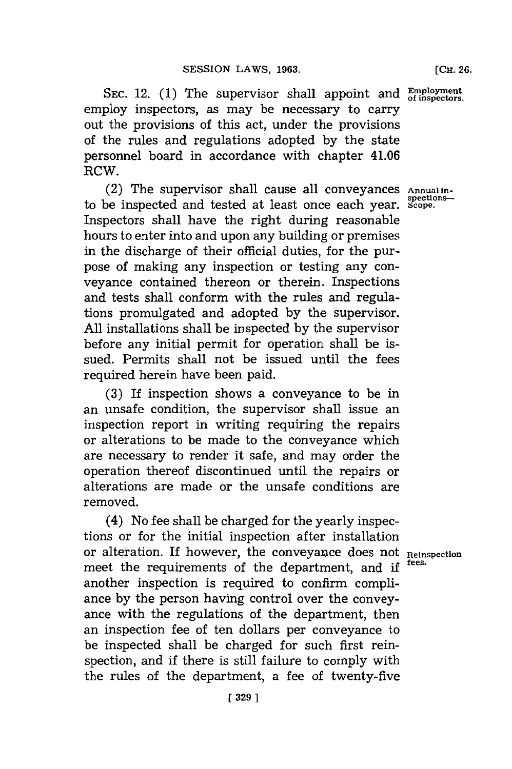**SEC.** 12. **(1)** The supervisor shall appoint and **Employment** employ inspectors, as may be necessary to carry out the provisions of this act, under the provisions of the rules and regulations adopted **by** the state personnel board in accordance with chapter 41.06 RCW.

(2) The supervisor shall cause all conveyances Annual in-<br>be inspected and tested at least once each vear, *Scope*. to be inspected and tested at least once each year. Inspectors shall have the right during reasonable hours to enter into and upon any building or premises in the discharge of their official duties, for the purpose of making any inspection or testing any conveyance contained thereon or therein. Inspections and tests shall conform with the rules and regulations promulgated and adopted **by** the supervisor. **All** installations shall be inspected **by** the supervisor before any initial permit for operation shall be issued. Permits shall not be issued until the fees required herein have been paid.

**(3)** If inspection shows a conveyance to be in an unsafe condition, the supervisor shall issue an inspection report in writing requiring the repairs or alterations to be made to the conveyance which are necessary to render it safe, and may order the operation thereof discontinued until the repairs or alterations are made or the unsafe conditions are removed.

(4) No fee shall be charged for the yearly inspections or for the initial inspection after installation or alteration. If however, the conveyance does not **Reinspection** meet the requirements of the department, and if another inspection is required to confirm compliance **by** the person having control over the conveyance with the regulations of the department, then an inspection fee of ten dollars per conveyance to be inspected shall be charged for such first reinspection, and if there is still failure to comply with the rules of the department, a fee of twenty-five

[ **329 ]**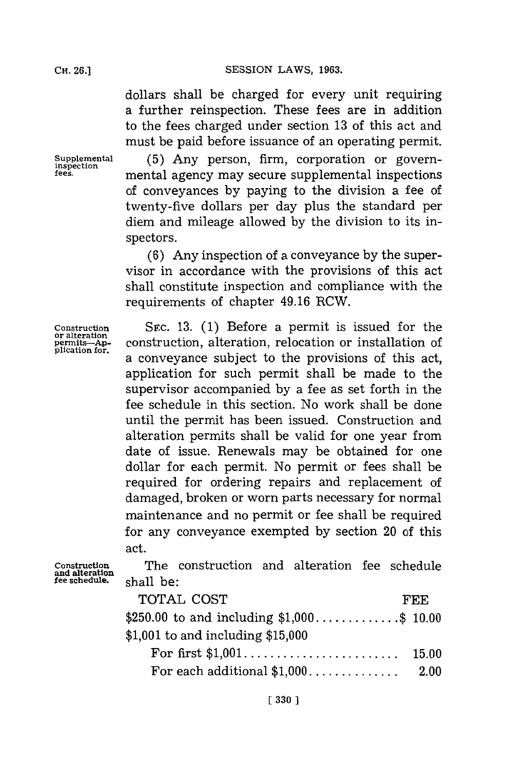dollars shall be charged for every unit requiring a further reinspection. These fees are in addition to the fees charged under section **13** of this act and must be paid before issuance of an operating permit.

**Supplemental (5)** Any person, firm, corporation or govern- **inspection fees,** mental agency may secure supplemental inspections of conveyances **by** paying to the division a fee of twenty-five dollars per day plus the standard per diem and mileage allowed **by** the division to its inspectors.

> **(6)** Any inspection of a conveyance **by** the supervisor in accordance with the provisions of this act shall constitute inspection and compliance with the requirements of chapter 49.16 RCW.

**Construction SEC. 13. (1)** Before a permit is issued for the **or alteration permits--Ap-** construction, alteration, relocation or installation of a conveyance subject to the provisions of this act, application for such permit shall be made to the supervisor accompanied **by** a fee as set forth in the fee schedule in this section. No work shall be done until the permit has been issued. Construction and alteration permits shall be valid for one year from date of issue. Renewals may be obtained for one dollar for each permit. No permit or fees shall be required for ordering repairs and replacement of damaged, broken or worn parts necessary for normal maintenance and no permit or fee shall be required for any conveyance exempted **by** section 20 of this act.

**Construction** The construction and alteration fee schedule **fee schedule,** shall be:

| TOTAL COST                                  | FEE.  |
|---------------------------------------------|-------|
| \$250.00 to and including $$1,000$ \$ 10.00 |       |
| \$1,001 to and including $$15,000$          |       |
|                                             | 15.00 |
| For each additional $$1,000$                | 2.00  |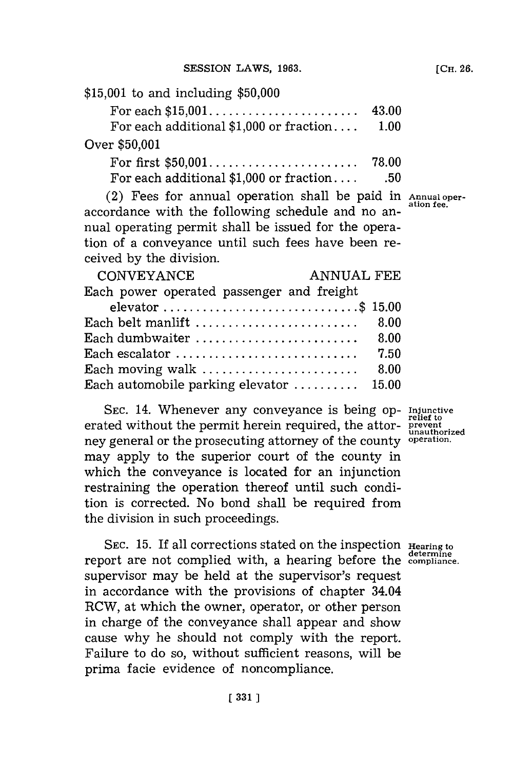| \$15,001 to and including \$50,000       |       |
|------------------------------------------|-------|
|                                          | 43.00 |
| For each additional $$1,000$ or fraction | 1.00  |
| Over \$50,001                            |       |
|                                          |       |

For each additional **\$1,000** or fraction. **.. . .50**

(2) Fees for annual operation shall be paid in **Annual oper**accordance with the following schedule and no annual operating permit shall be issued for the operation of a conveyance until such fees have been received **by** the division.

| <b>ANNUAL FEE</b><br><b>CONVEYANCE</b>                              |      |
|---------------------------------------------------------------------|------|
| Each power operated passenger and freight                           |      |
| elevator \$ 15.00                                                   |      |
| Each belt manlift                                                   | 8.00 |
| Each dumbwaiter $\dots\dots\dots\dots\dots\dots\dots\dots\dots$     | 8.00 |
| Each escalator $\dots\dots\dots\dots\dots\dots\dots\dots\dots\dots$ | 7.50 |
| Each moving walk                                                    | 8.00 |
| Each automobile parking elevator  15.00                             |      |

**SEC.** 14. Whenever any conveyance is being op- **Injuinctive** erated without the permit herein required, the attor- **prevent** ney general or the prosecuting attorney of the county **operation.** may apply to the superior court of the county in which the conveyance is located for an injunction restraining the operation thereof until such condition is corrected. No bond shall be required from the division in such proceedings.

SEC. 15. If all corrections stated on the inspection **Hearing to determine** report are not complied with, a hearing before the **cmlance.** supervisor may be held at the supervisor's request in accordance with the provisions of chapter 34.04 RCW, at which the owner, operator, or other person in charge of the conveyance shall appear and show cause why he should not comply with the report. Failure to do so, without sufficient reasons, will be prima facie evidence of noncompliance.

**unauthorized**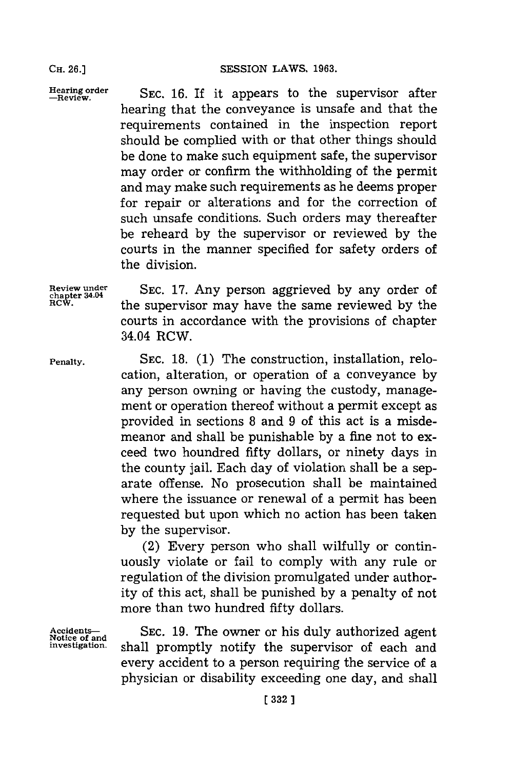Hearing order **SEC. 16. If it appears to the supervisor after** hearing that the conveyance is unsafe and that the requirements contained in the inspection report should be complied with or that other things should be done to make such equipment safe, the supervisor may order or confirm the withholding of the permit and may make such requirements as he deems proper for repair or alterations and for the correction of such unsafe conditions. Such orders may thereafter be reheard **by** the supervisor or reviewed **by** the courts in the manner specified for safety orders of the division.

**Review under SEC. 17.** Any person aggrieved **by** any order of **chapter 34.04** RCW. the supervisor may have the same reviewed **by** the courts in accordance with the provisions of chapter 34.04 RCW.

**Penalty. SEC. 18. (1)** The construction, installation, relocation, alteration, or operation of a conveyance **by** any person owning or having the custody, management or operation thereof without a permit except as provided in sections **8** and **9** of this act is a misdemeanor and shall be punishable **by** a fine not to exceed two houndred fifty dollars, or ninety days in the county jail. Each day of violation shall be a separate offense. No prosecution shall be maintained where the issuance or renewal of a permit has been requested but upon which no action has been taken **by** the supervisor.

> (2) Every person who shall wilfully or continuously violate or fail to comply with any rule or regulation of the division promulgated under authority of this act, shall be punished **by** a penalty of not more than two hundred fifty dollars.

Accidents-<br>
Notice of and<br> **I**nvestigation. shall promptly notify the supervisor of each and shall promptly notify the supervisor of each and every accident to a person requiring the service of a physician or disability exceeding one day, and shall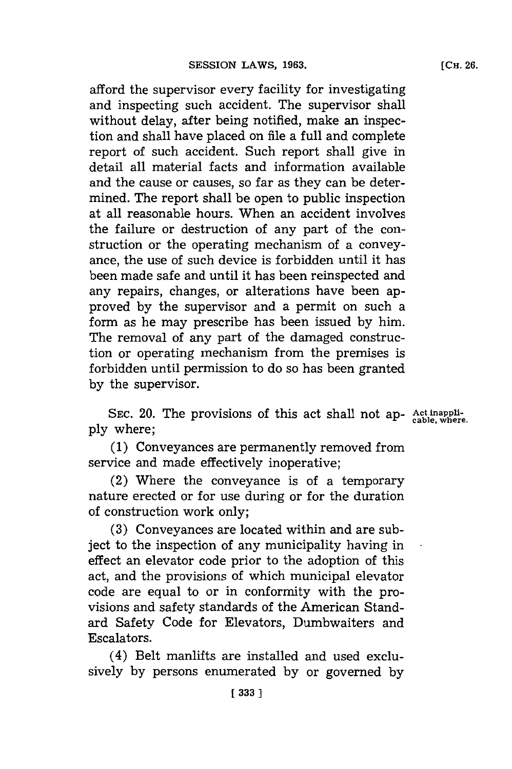afford the supervisor every facility for investigating and inspecting such accident. The supervisor shall without delay, after being notified, make an inspection and shall have placed on file a full and complete report of such accident. Such report shall give in detail all material facts and information available and the cause or causes, so far as they can be determined. The report shall be open to public inspection at all reasonable hours. When an accident involves the failure or destruction of any part of the construction or the operating mechanism of a conveyance, the use of such device is forbidden until it has been made safe and until it has been reinspected and any repairs, changes, or alterations have been approved **by** the supervisor and a permit on such a form as he may prescribe has been issued **by** him. The removal of any part of the damaged construction or operating mechanism from the premises is forbidden until permission to do so has been granted **by** the supervisor.

**SEC.** 20. The provisions of this act shall not ap- **Act inappi- cable, where. ply** where;

**(1)** Conveyances are permanently removed from service and made effectively inoperative;

(2) Where the conveyance is of a temporary nature erected or for use during or for the duration of construction work only;

**(3)** Conveyances are located within and are subject to the inspection of any municipality having in effect an elevator code prior to the adoption of this act, and the provisions of which municipal elevator code are equal to or in conformity with the provisions and safety standards of the American Standard Safety Code for Elevators, Dumbwaiters and Escalators.

(4) Belt manlifts are installed and used exclusively **by** persons enumerated **by** or governed **by**